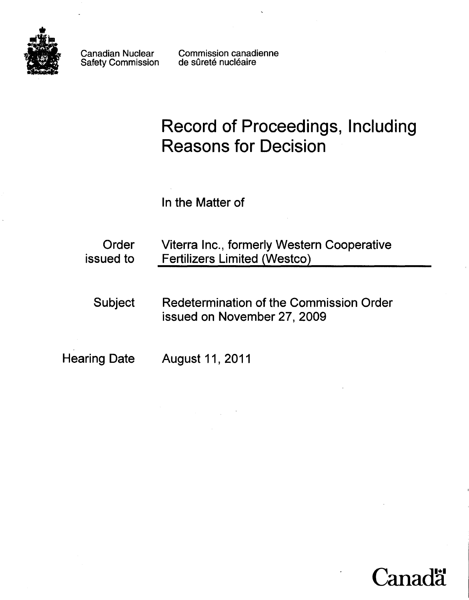

Canadian Nuclear Safety Commission Commission canadienne de sûreté nucléaire

# **Record of Proceedings, Including Reasons for Decision**

In the Matter of

| Order<br>issued to  | Viterra Inc., formerly Western Cooperative<br><b>Fertilizers Limited (Westco)</b> |
|---------------------|-----------------------------------------------------------------------------------|
| <b>Subject</b>      | Redetermination of the Commission Order<br>issued on November 27, 2009            |
| <b>Hearing Date</b> | <b>August 11, 2011</b>                                                            |

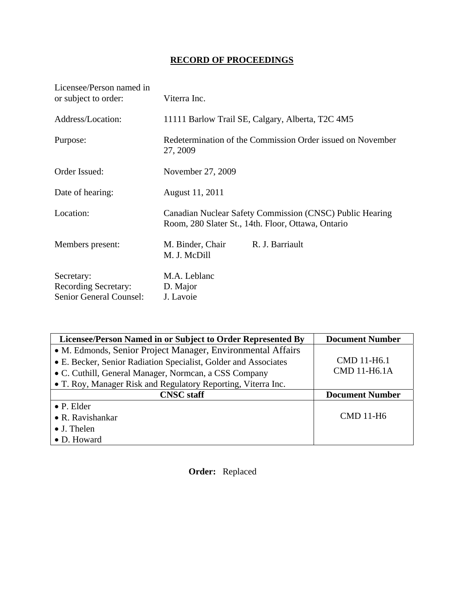## **RECORD OF PROCEEDINGS**

| Licensee/Person named in<br>or subject to order:                     | Viterra Inc.                                                                                                   |
|----------------------------------------------------------------------|----------------------------------------------------------------------------------------------------------------|
| Address/Location:                                                    | 11111 Barlow Trail SE, Calgary, Alberta, T2C 4M5                                                               |
| Purpose:                                                             | Redetermination of the Commission Order issued on November<br>27, 2009                                         |
| Order Issued:                                                        | November 27, 2009                                                                                              |
| Date of hearing:                                                     | August 11, 2011                                                                                                |
| Location:                                                            | Canadian Nuclear Safety Commission (CNSC) Public Hearing<br>Room, 280 Slater St., 14th. Floor, Ottawa, Ontario |
| Members present:                                                     | M. Binder, Chair<br>R. J. Barriault<br>M. J. McDill                                                            |
| Secretary:<br><b>Recording Secretary:</b><br>Senior General Counsel: | M.A. Leblanc<br>D. Major<br>J. Lavoie                                                                          |

| Licensee/Person Named in or Subject to Order Represented By     | <b>Document Number</b> |
|-----------------------------------------------------------------|------------------------|
| • M. Edmonds, Senior Project Manager, Environmental Affairs     |                        |
| • E. Becker, Senior Radiation Specialist, Golder and Associates | CMD 11-H6.1            |
| • C. Cuthill, General Manager, Normcan, a CSS Company           | <b>CMD 11-H6.1A</b>    |
| • T. Roy, Manager Risk and Regulatory Reporting, Viterra Inc.   |                        |
| <b>CNSC</b> staff                                               | <b>Document Number</b> |
| $\bullet$ P. Elder                                              |                        |
| • R. Ravishankar                                                | CMD 11-H <sub>6</sub>  |
|                                                                 |                        |
| $\bullet$ J. Thelen                                             |                        |

 **Order:** Replaced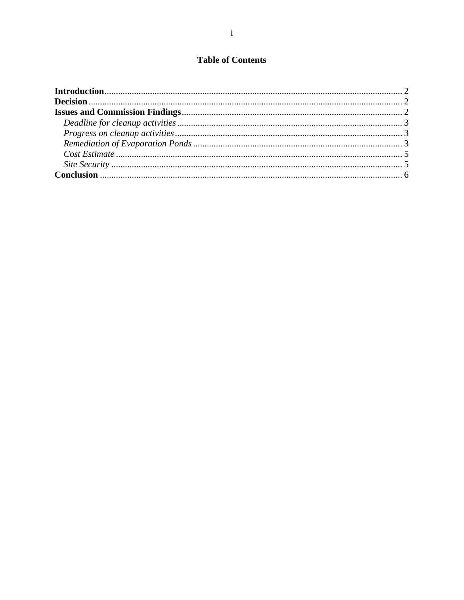## **Table of Contents**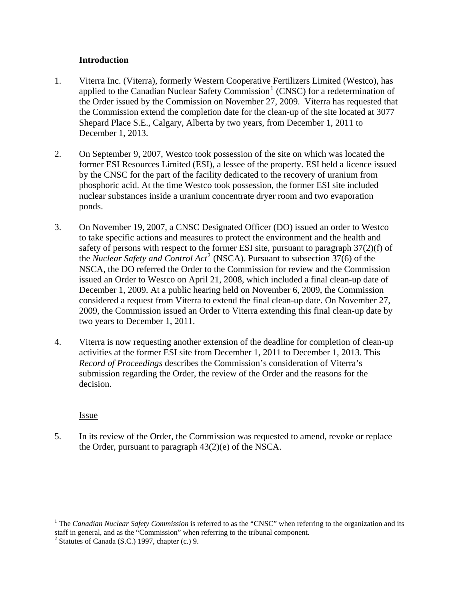#### **Introduction**

- <span id="page-3-0"></span>1. Viterra Inc. (Viterra), formerly Western Cooperative Fertilizers Limited (Westco), has applied to the Canadian Nuclear Safety Commission<sup>[1](#page-3-1)</sup> (CNSC) for a redetermination of the Order issued by the Commission on November 27, 2009. Viterra has requested that the Commission extend the completion date for the clean-up of the site located at 3077 Shepard Place S.E., Calgary, Alberta by two years, from December 1, 2011 to December 1, 2013.
- 2. On September 9, 2007, Westco took possession of the site on which was located the former ESI Resources Limited (ESI), a lessee of the property. ESI held a licence issued by the CNSC for the part of the facility dedicated to the recovery of uranium from phosphoric acid. At the time Westco took possession, the former ESI site included nuclear substances inside a uranium concentrate dryer room and two evaporation ponds.
- 3. On November 19, 2007, a CNSC Designated Officer (DO) issued an order to Westco to take specific actions and measures to protect the environment and the health and safety of persons with respect to the former ESI site, pursuant to paragraph 37(2)(f) of the *Nuclear Safety and Control Act*<sup>[2](#page-3-2)</sup> (NSCA). Pursuant to subsection  $37(6)$  of the NSCA, the DO referred the Order to the Commission for review and the Commission issued an Order to Westco on April 21, 2008, which included a final clean-up date of December 1, 2009. At a public hearing held on November 6, 2009, the Commission considered a request from Viterra to extend the final clean-up date. On November 27, 2009, the Commission issued an Order to Viterra extending this final clean-up date by two years to December 1, 2011.
- 4. Viterra is now requesting another extension of the deadline for completion of clean-up activities at the former ESI site from December 1, 2011 to December 1, 2013. This *Record of Proceedings* describes the Commission's consideration of Viterra's submission regarding the Order, the review of the Order and the reasons for the decision.

### Issue

 $\overline{a}$ 

5. In its review of the Order, the Commission was requested to amend, revoke or replace the Order, pursuant to paragraph 43(2)(e) of the NSCA.

<span id="page-3-1"></span><sup>&</sup>lt;sup>1</sup> The *Canadian Nuclear Safety Commission* is referred to as the "CNSC" when referring to the organization and its staff in general, and as the "Commission" when referring to the tribunal component.

<span id="page-3-2"></span> $2$  Statutes of Canada (S.C.) 1997, chapter (c.) 9.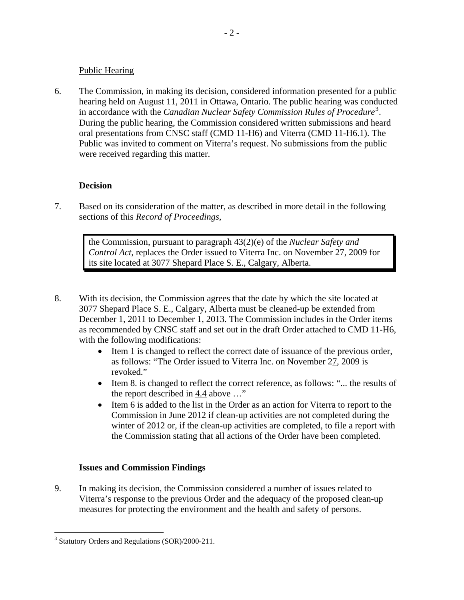#### <span id="page-4-0"></span>Public Hearing

6. The Commission, in making its decision, considered information presented for a public hearing held on August 11, 2011 in Ottawa, Ontario. The public hearing was conducted in accordance with the *Canadian Nuclear Safety Commission Rules of Procedure*[3](#page-4-1) . During the public hearing, the Commission considered written submissions and heard oral presentations from CNSC staff (CMD 11-H6) and Viterra (CMD 11-H6.1). The Public was invited to comment on Viterra's request. No submissions from the public were received regarding this matter.

## **Decision**

7. Based on its consideration of the matter, as described in more detail in the following sections of this *Record of Proceedings*,

> the Commission, pursuant to paragraph 43(2)(e) of the *Nuclear Safety and Control Act*, replaces the Order issued to Viterra Inc. on November 27, 2009 for its site located at 3077 Shepard Place S. E., Calgary, Alberta.

- 8. With its decision, the Commission agrees that the date by which the site located at 3077 Shepard Place S. E., Calgary, Alberta must be cleaned-up be extended from December 1, 2011 to December 1, 2013. The Commission includes in the Order items as recommended by CNSC staff and set out in the draft Order attached to CMD 11-H6, with the following modifications:
	- Item 1 is changed to reflect the correct date of issuance of the previous order, as follows: "The Order issued to Viterra Inc. on November 27, 2009 is revoked."
	- Item 8. is changed to reflect the correct reference, as follows: "... the results of the report described in 4.4 above …"
	- Item 6 is added to the list in the Order as an action for Viterra to report to the Commission in June 2012 if clean-up activities are not completed during the winter of 2012 or, if the clean-up activities are completed, to file a report with the Commission stating that all actions of the Order have been completed.

### **Issues and Commission Findings**

9. In making its decision, the Commission considered a number of issues related to Viterra's response to the previous Order and the adequacy of the proposed clean-up measures for protecting the environment and the health and safety of persons.

 $\overline{a}$ 

<span id="page-4-1"></span><sup>&</sup>lt;sup>3</sup> Statutory Orders and Regulations (SOR)/2000-211.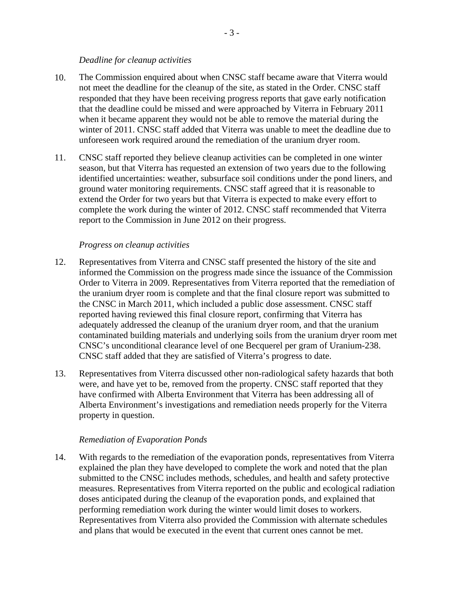#### *Deadline for cleanup activities*

- <span id="page-5-0"></span>10. The Commission enquired about when CNSC staff became aware that Viterra would not meet the deadline for the cleanup of the site, as stated in the Order. CNSC staff responded that they have been receiving progress reports that gave early notification that the deadline could be missed and were approached by Viterra in February 2011 when it became apparent they would not be able to remove the material during the winter of 2011. CNSC staff added that Viterra was unable to meet the deadline due to unforeseen work required around the remediation of the uranium dryer room.
- 11. CNSC staff reported they believe cleanup activities can be completed in one winter season, but that Viterra has requested an extension of two years due to the following identified uncertainties: weather, subsurface soil conditions under the pond liners, and ground water monitoring requirements. CNSC staff agreed that it is reasonable to extend the Order for two years but that Viterra is expected to make every effort to complete the work during the winter of 2012. CNSC staff recommended that Viterra report to the Commission in June 2012 on their progress.

#### *Progress on cleanup activities*

- 12. Representatives from Viterra and CNSC staff presented the history of the site and informed the Commission on the progress made since the issuance of the Commission Order to Viterra in 2009. Representatives from Viterra reported that the remediation of the uranium dryer room is complete and that the final closure report was submitted to the CNSC in March 2011, which included a public dose assessment. CNSC staff reported having reviewed this final closure report, confirming that Viterra has adequately addressed the cleanup of the uranium dryer room, and that the uranium contaminated building materials and underlying soils from the uranium dryer room met CNSC's unconditional clearance level of one Becquerel per gram of Uranium-238. CNSC staff added that they are satisfied of Viterra's progress to date.
- 13. Representatives from Viterra discussed other non-radiological safety hazards that both were, and have yet to be, removed from the property. CNSC staff reported that they have confirmed with Alberta Environment that Viterra has been addressing all of Alberta Environment's investigations and remediation needs properly for the Viterra property in question.

#### *Remediation of Evaporation Ponds*

14. With regards to the remediation of the evaporation ponds, representatives from Viterra explained the plan they have developed to complete the work and noted that the plan submitted to the CNSC includes methods, schedules, and health and safety protective measures. Representatives from Viterra reported on the public and ecological radiation doses anticipated during the cleanup of the evaporation ponds, and explained that performing remediation work during the winter would limit doses to workers. Representatives from Viterra also provided the Commission with alternate schedules and plans that would be executed in the event that current ones cannot be met.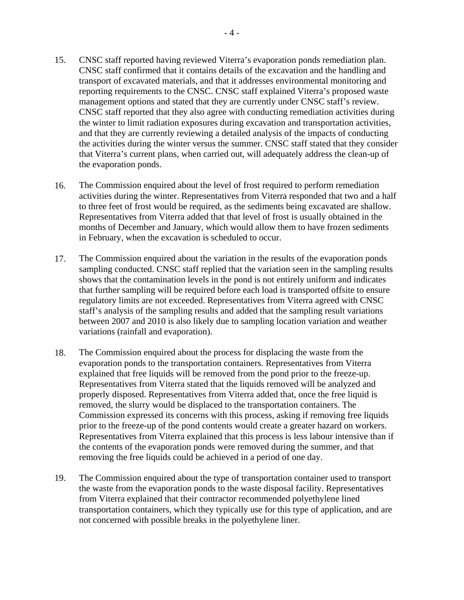- 15. CNSC staff reported having reviewed Viterra's evaporation ponds remediation plan. CNSC staff confirmed that it contains details of the excavation and the handling and transport of excavated materials, and that it addresses environmental monitoring and reporting requirements to the CNSC. CNSC staff explained Viterra's proposed waste management options and stated that they are currently under CNSC staff's review. CNSC staff reported that they also agree with conducting remediation activities during the winter to limit radiation exposures during excavation and transportation activities, and that they are currently reviewing a detailed analysis of the impacts of conducting the activities during the winter versus the summer. CNSC staff stated that they consider that Viterra's current plans, when carried out, will adequately address the clean-up of the evaporation ponds.
- 16. The Commission enquired about the level of frost required to perform remediation activities during the winter. Representatives from Viterra responded that two and a half to three feet of frost would be required, as the sediments being excavated are shallow. Representatives from Viterra added that that level of frost is usually obtained in the months of December and January, which would allow them to have frozen sediments in February, when the excavation is scheduled to occur.
- 17. The Commission enquired about the variation in the results of the evaporation ponds sampling conducted. CNSC staff replied that the variation seen in the sampling results shows that the contamination levels in the pond is not entirely uniform and indicates that further sampling will be required before each load is transported offsite to ensure regulatory limits are not exceeded. Representatives from Viterra agreed with CNSC staff's analysis of the sampling results and added that the sampling result variations between 2007 and 2010 is also likely due to sampling location variation and weather variations (rainfall and evaporation).
- 18. The Commission enquired about the process for displacing the waste from the evaporation ponds to the transportation containers. Representatives from Viterra explained that free liquids will be removed from the pond prior to the freeze-up. Representatives from Viterra stated that the liquids removed will be analyzed and properly disposed. Representatives from Viterra added that, once the free liquid is removed, the slurry would be displaced to the transportation containers. The Commission expressed its concerns with this process, asking if removing free liquids prior to the freeze-up of the pond contents would create a greater hazard on workers. Representatives from Viterra explained that this process is less labour intensive than if the contents of the evaporation ponds were removed during the summer, and that removing the free liquids could be achieved in a period of one day.
- 19. The Commission enquired about the type of transportation container used to transport the waste from the evaporation ponds to the waste disposal facility. Representatives from Viterra explained that their contractor recommended polyethylene lined transportation containers, which they typically use for this type of application, and are not concerned with possible breaks in the polyethylene liner.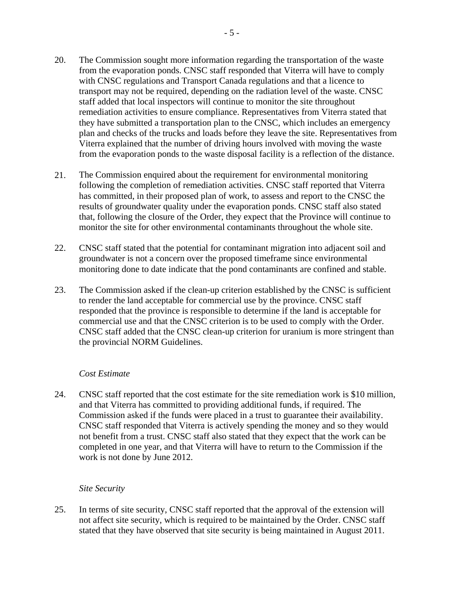- <span id="page-7-0"></span>20. The Commission sought more information regarding the transportation of the waste from the evaporation ponds. CNSC staff responded that Viterra will have to comply with CNSC regulations and Transport Canada regulations and that a licence to transport may not be required, depending on the radiation level of the waste. CNSC staff added that local inspectors will continue to monitor the site throughout remediation activities to ensure compliance. Representatives from Viterra stated that they have submitted a transportation plan to the CNSC, which includes an emergency plan and checks of the trucks and loads before they leave the site. Representatives from Viterra explained that the number of driving hours involved with moving the waste from the evaporation ponds to the waste disposal facility is a reflection of the distance.
- 21. The Commission enquired about the requirement for environmental monitoring following the completion of remediation activities. CNSC staff reported that Viterra has committed, in their proposed plan of work, to assess and report to the CNSC the results of groundwater quality under the evaporation ponds. CNSC staff also stated that, following the closure of the Order, they expect that the Province will continue to monitor the site for other environmental contaminants throughout the whole site.
- 22. CNSC staff stated that the potential for contaminant migration into adjacent soil and groundwater is not a concern over the proposed timeframe since environmental monitoring done to date indicate that the pond contaminants are confined and stable.
- 23. The Commission asked if the clean-up criterion established by the CNSC is sufficient to render the land acceptable for commercial use by the province. CNSC staff responded that the province is responsible to determine if the land is acceptable for commercial use and that the CNSC criterion is to be used to comply with the Order. CNSC staff added that the CNSC clean-up criterion for uranium is more stringent than the provincial NORM Guidelines.

#### *Cost Estimate*

24. CNSC staff reported that the cost estimate for the site remediation work is \$10 million, and that Viterra has committed to providing additional funds, if required. The Commission asked if the funds were placed in a trust to guarantee their availability. CNSC staff responded that Viterra is actively spending the money and so they would not benefit from a trust. CNSC staff also stated that they expect that the work can be completed in one year, and that Viterra will have to return to the Commission if the work is not done by June 2012.

#### *Site Security*

25. In terms of site security, CNSC staff reported that the approval of the extension will not affect site security, which is required to be maintained by the Order. CNSC staff stated that they have observed that site security is being maintained in August 2011.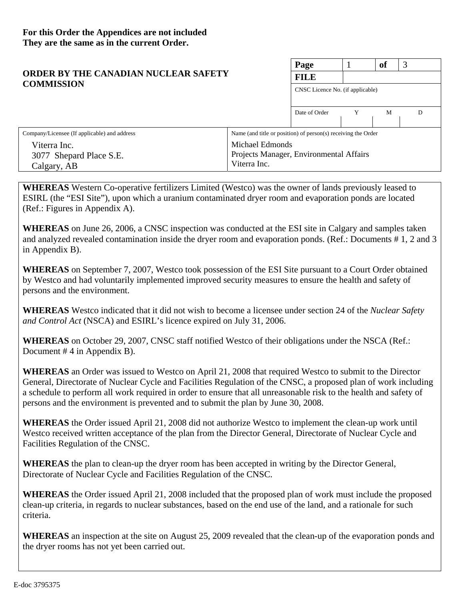#### **Page** 1 **of** 3 **FILE**  CNSC Licence No. (if applicable) Date of Order Y M D **ORDER BY THE CANADIAN NUCLEAR SAFETY COMMISSION**  Company/Licensee (If applicable) and address Viterra Inc. 3077 Shepard Place S.E. Calgary, AB Name (and title or position) of person(s) receiving the Order Michael Edmonds Projects Manager, Environmental Affairs Viterra Inc.

**WHEREAS** Western Co-operative fertilizers Limited (Westco) was the owner of lands previously leased to ESIRL (the "ESI Site"), upon which a uranium contaminated dryer room and evaporation ponds are located (Ref.: Figures in Appendix A).

**WHEREAS** on June 26, 2006, a CNSC inspection was conducted at the ESI site in Calgary and samples taken and analyzed revealed contamination inside the dryer room and evaporation ponds. (Ref.: Documents # 1, 2 and 3 in Appendix B).

**WHEREAS** on September 7, 2007, Westco took possession of the ESI Site pursuant to a Court Order obtained by Westco and had voluntarily implemented improved security measures to ensure the health and safety of persons and the environment.

**WHEREAS** Westco indicated that it did not wish to become a licensee under section 24 of the *Nuclear Safety and Control Act* (NSCA) and ESIRL's licence expired on July 31, 2006.

**WHEREAS** on October 29, 2007, CNSC staff notified Westco of their obligations under the NSCA (Ref.: Document # 4 in Appendix B).

**WHEREAS** an Order was issued to Westco on April 21, 2008 that required Westco to submit to the Director General, Directorate of Nuclear Cycle and Facilities Regulation of the CNSC, a proposed plan of work including a schedule to perform all work required in order to ensure that all unreasonable risk to the health and safety of persons and the environment is prevented and to submit the plan by June 30, 2008.

**WHEREAS** the Order issued April 21, 2008 did not authorize Westco to implement the clean-up work until Westco received written acceptance of the plan from the Director General, Directorate of Nuclear Cycle and Facilities Regulation of the CNSC.

**WHEREAS** the plan to clean-up the dryer room has been accepted in writing by the Director General, Directorate of Nuclear Cycle and Facilities Regulation of the CNSC.

**WHEREAS** the Order issued April 21, 2008 included that the proposed plan of work must include the proposed clean-up criteria, in regards to nuclear substances, based on the end use of the land, and a rationale for such criteria.

**WHEREAS** an inspection at the site on August 25, 2009 revealed that the clean-up of the evaporation ponds and the dryer rooms has not yet been carried out.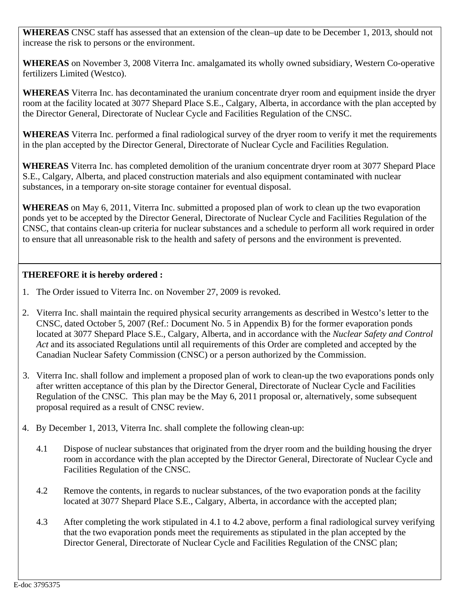**WHEREAS** CNSC staff has assessed that an extension of the clean–up date to be December 1, 2013, should not increase the risk to persons or the environment.

**WHEREAS** on November 3, 2008 Viterra Inc. amalgamated its wholly owned subsidiary, Western Co-operative fertilizers Limited (Westco).

**WHEREAS** Viterra Inc. has decontaminated the uranium concentrate dryer room and equipment inside the dryer room at the facility located at 3077 Shepard Place S.E., Calgary, Alberta, in accordance with the plan accepted by the Director General, Directorate of Nuclear Cycle and Facilities Regulation of the CNSC.

**WHEREAS** Viterra Inc. performed a final radiological survey of the dryer room to verify it met the requirements in the plan accepted by the Director General, Directorate of Nuclear Cycle and Facilities Regulation.

**WHEREAS** Viterra Inc. has completed demolition of the uranium concentrate dryer room at 3077 Shepard Place S.E., Calgary, Alberta, and placed construction materials and also equipment contaminated with nuclear substances, in a temporary on-site storage container for eventual disposal.

**WHEREAS** on May 6, 2011, Viterra Inc. submitted a proposed plan of work to clean up the two evaporation ponds yet to be accepted by the Director General, Directorate of Nuclear Cycle and Facilities Regulation of the CNSC, that contains clean-up criteria for nuclear substances and a schedule to perform all work required in order to ensure that all unreasonable risk to the health and safety of persons and the environment is prevented.

## **THEREFORE it is hereby ordered :**

- 1. The Order issued to Viterra Inc. on November 27, 2009 is revoked.
- 2. Viterra Inc. shall maintain the required physical security arrangements as described in Westco's letter to the CNSC, dated October 5, 2007 (Ref.: Document No. 5 in Appendix B) for the former evaporation ponds located at 3077 Shepard Place S.E., Calgary, Alberta, and in accordance with the *Nuclear Safety and Control Act* and its associated Regulations until all requirements of this Order are completed and accepted by the Canadian Nuclear Safety Commission (CNSC) or a person authorized by the Commission.
- 3. Viterra Inc. shall follow and implement a proposed plan of work to clean-up the two evaporations ponds only after written acceptance of this plan by the Director General, Directorate of Nuclear Cycle and Facilities Regulation of the CNSC. This plan may be the May 6, 2011 proposal or, alternatively, some subsequent proposal required as a result of CNSC review.
- 4. By December 1, 2013, Viterra Inc. shall complete the following clean-up:
	- 4.1 Dispose of nuclear substances that originated from the dryer room and the building housing the dryer room in accordance with the plan accepted by the Director General, Directorate of Nuclear Cycle and Facilities Regulation of the CNSC.
	- 4.2 Remove the contents, in regards to nuclear substances, of the two evaporation ponds at the facility located at 3077 Shepard Place S.E., Calgary, Alberta, in accordance with the accepted plan;
	- 4.3 After completing the work stipulated in 4.1 to 4.2 above, perform a final radiological survey verifying that the two evaporation ponds meet the requirements as stipulated in the plan accepted by the Director General, Directorate of Nuclear Cycle and Facilities Regulation of the CNSC plan;